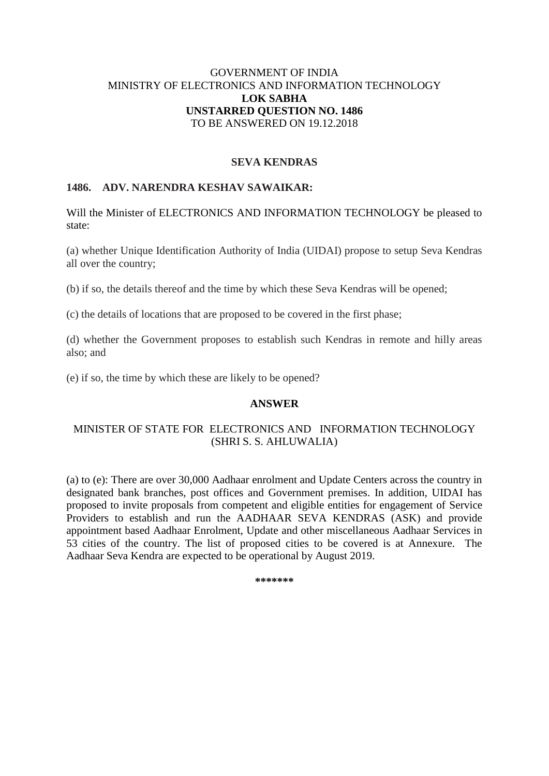## GOVERNMENT OF INDIA MINISTRY OF ELECTRONICS AND INFORMATION TECHNOLOGY **LOK SABHA UNSTARRED QUESTION NO. 1486** TO BE ANSWERED ON 19.12.2018

### **SEVA KENDRAS**

## **1486. ADV. NARENDRA KESHAV SAWAIKAR:**

Will the Minister of ELECTRONICS AND INFORMATION TECHNOLOGY be pleased to state:

(a) whether Unique Identification Authority of India (UIDAI) propose to setup Seva Kendras all over the country;

(b) if so, the details thereof and the time by which these Seva Kendras will be opened;

(c) the details of locations that are proposed to be covered in the first phase;

(d) whether the Government proposes to establish such Kendras in remote and hilly areas also; and

(e) if so, the time by which these are likely to be opened?

#### **ANSWER**

## MINISTER OF STATE FOR ELECTRONICS AND INFORMATION TECHNOLOGY (SHRI S. S. AHLUWALIA)

(a) to (e): There are over 30,000 Aadhaar enrolment and Update Centers across the country in designated bank branches, post offices and Government premises. In addition, UIDAI has proposed to invite proposals from competent and eligible entities for engagement of Service Providers to establish and run the AADHAAR SEVA KENDRAS (ASK) and provide appointment based Aadhaar Enrolment, Update and other miscellaneous Aadhaar Services in 53 cities of the country. The list of proposed cities to be covered is at Annexure. The Aadhaar Seva Kendra are expected to be operational by August 2019.

**\*\*\*\*\*\*\***